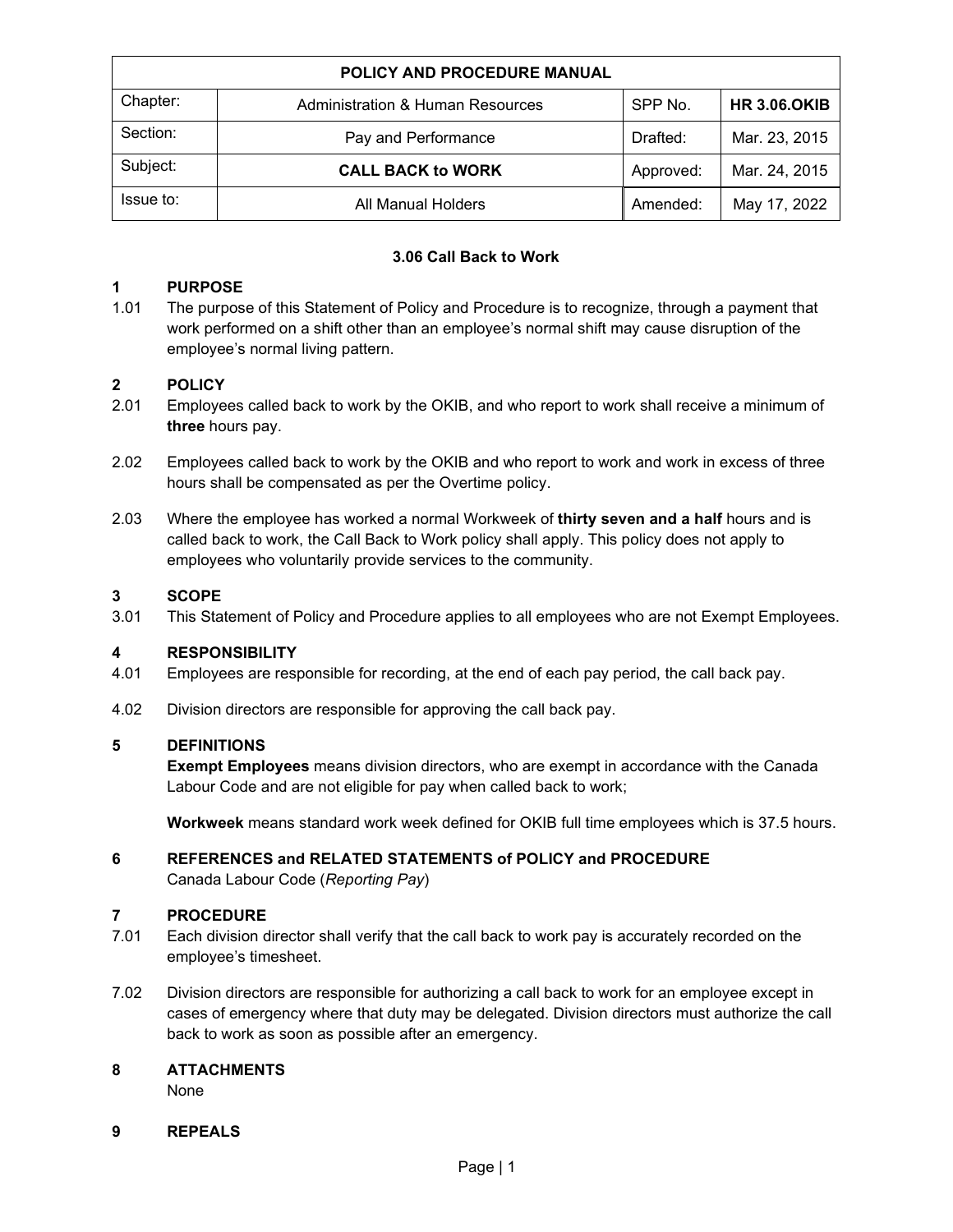| <b>POLICY AND PROCEDURE MANUAL</b> |                                             |           |                     |  |  |
|------------------------------------|---------------------------------------------|-----------|---------------------|--|--|
| Chapter:                           | <b>Administration &amp; Human Resources</b> | SPP No.   | <b>HR 3.06.OKIB</b> |  |  |
| Section:                           | Pay and Performance                         | Drafted:  | Mar. 23, 2015       |  |  |
| Subject:                           | <b>CALL BACK to WORK</b>                    | Approved: | Mar. 24, 2015       |  |  |
| Issue to:                          | All Manual Holders                          | Amended:  | May 17, 2022        |  |  |

#### **3.06 Call Back to Work**

#### **1 PURPOSE**

1.01 The purpose of this Statement of Policy and Procedure is to recognize, through a payment that work performed on a shift other than an employee's normal shift may cause disruption of the employee's normal living pattern.

# **2 POLICY**

- Employees called back to work by the OKIB, and who report to work shall receive a minimum of **three** hours pay.
- 2.02 Employees called back to work by the OKIB and who report to work and work in excess of three hours shall be compensated as per the Overtime policy.
- 2.03 Where the employee has worked a normal Workweek of **thirty seven and a half** hours and is called back to work, the Call Back to Work policy shall apply. This policy does not apply to employees who voluntarily provide services to the community.

#### **3 SCOPE**

3.01 This Statement of Policy and Procedure applies to all employees who are not Exempt Employees.

#### **4 RESPONSIBILITY**

- 4.01 Employees are responsible for recording, at the end of each pay period, the call back pay.
- 4.02 Division directors are responsible for approving the call back pay.

#### **5 DEFINITIONS**

**Exempt Employees** means division directors, who are exempt in accordance with the Canada Labour Code and are not eligible for pay when called back to work;

**Workweek** means standard work week defined for OKIB full time employees which is 37.5 hours.

## **6 REFERENCES and RELATED STATEMENTS of POLICY and PROCEDURE**

Canada Labour Code (*Reporting Pay*)

#### **7 PROCEDURE**

- 7.01 Each division director shall verify that the call back to work pay is accurately recorded on the employee's timesheet.
- 7.02 Division directors are responsible for authorizing a call back to work for an employee except in cases of emergency where that duty may be delegated. Division directors must authorize the call back to work as soon as possible after an emergency.

### **8 ATTACHMENTS**

None

#### **9 REPEALS**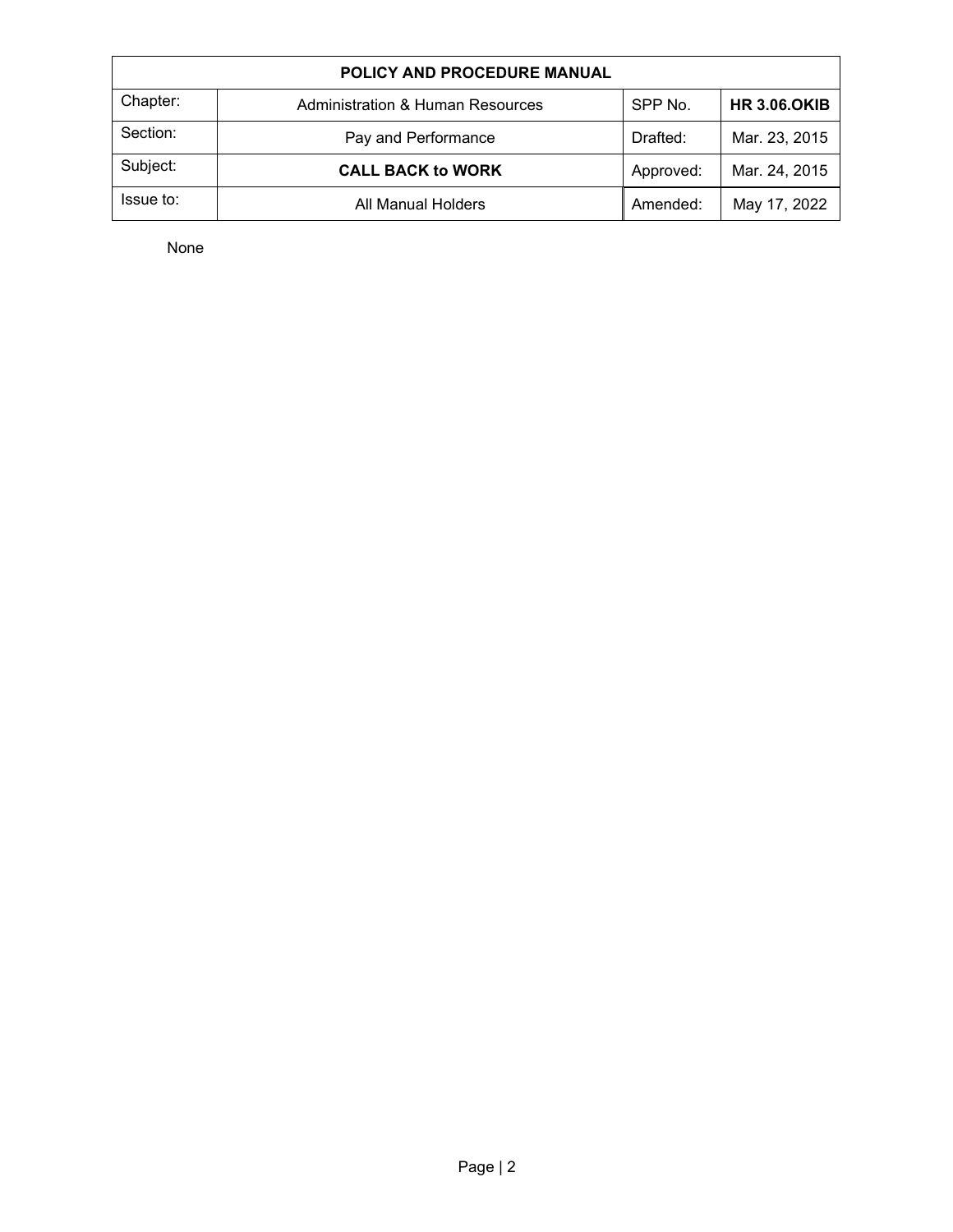| <b>POLICY AND PROCEDURE MANUAL</b> |                                             |           |                     |  |  |  |
|------------------------------------|---------------------------------------------|-----------|---------------------|--|--|--|
| Chapter:                           | <b>Administration &amp; Human Resources</b> | SPP No.   | <b>HR 3.06.OKIB</b> |  |  |  |
| Section:                           | Pay and Performance                         | Drafted:  | Mar. 23, 2015       |  |  |  |
| Subject:                           | <b>CALL BACK to WORK</b>                    | Approved: | Mar. 24, 2015       |  |  |  |
| Issue to:                          | All Manual Holders                          | Amended:  | May 17, 2022        |  |  |  |

None